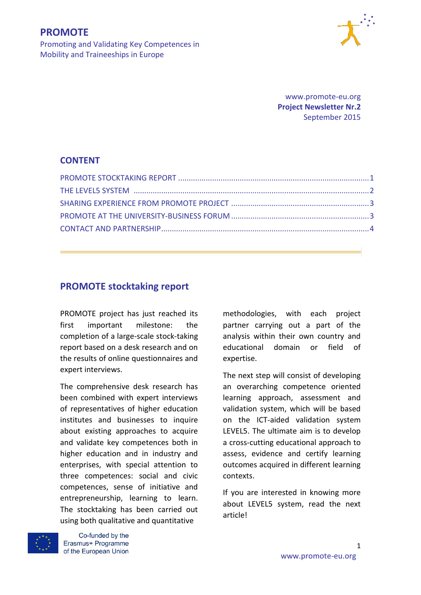

Promoting and Validating Key Competences in Mobility and Traineeships in Europe

> www.promote-eu.org **Project Newsletter Nr.2** September 2015

### **CONTENT**

# **PROMOTE stocktaking report**

PROMOTE project has just reached its first important milestone: the completion of a large-scale stock-taking report based on a desk research and on the results of online questionnaires and expert interviews.

The comprehensive desk research has been combined with expert interviews of representatives of higher education institutes and businesses to inquire about existing approaches to acquire and validate key competences both in higher education and in industry and enterprises, with special attention to three competences: social and civic competences, sense of initiative and entrepreneurship, learning to learn. The stocktaking has been carried out using both qualitative and quantitative



Co-funded by the Erasmus+ Programme methodologies, with each project partner carrying out a part of the analysis within their own country and educational domain or field of expertise.

The next step will consist of developing an overarching competence oriented learning approach, assessment and validation system, which will be based on the ICT-aided validation system LEVEL5. The ultimate aim is to develop a cross-cutting educational approach to assess, evidence and certify learning outcomes acquired in different learning contexts.

If you are interested in knowing more about LEVEL5 system, read the next article!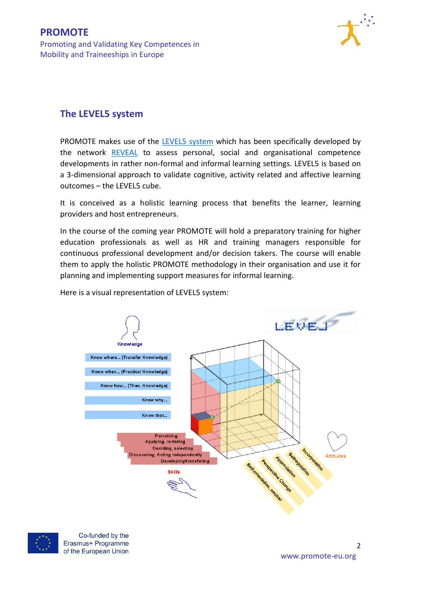

# **The LEVEL5 system**

PROMOTE makes use of the [LEVEL5 system](http://www.reveal-eu.org/) which has been specifically developed by the network [REVEAL](http://www.reveal-eu.org/) to assess personal, social and organisational competence developments in rather non-formal and informal learning settings. LEVEL5 is based on a 3-dimensional approach to validate cognitive, activity related and affective learning outcomes – the LEVEL5 cube.

It is conceived as a holistic learning process that benefits the learner, learning providers and host entrepreneurs.

In the course of the coming year PROMOTE will hold a preparatory training for higher education professionals as well as HR and training managers responsible for continuous professional development and/or decision takers. The course will enable them to apply the holistic PROMOTE methodology in their organisation and use it for planning and implementing support measures for informal learning.

Here is a visual representation of LEVEL5 system:





Co-funded by the Erasmus+ Programme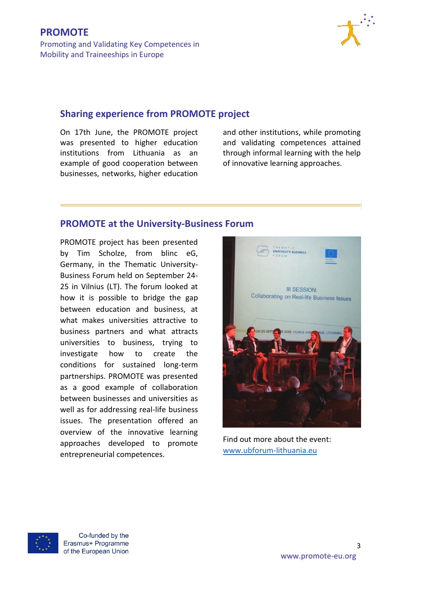

### **[Sharing experience from PROMOTE project](http://promote-eu.org/smpf/)**

On 17th June, the PROMOTE project was presented to higher education institutions from Lithuania as an example of good cooperation between businesses, networks, higher education and other institutions, while promoting and validating competences attained through informal learning with the help of innovative learning approaches.

## **PROMOTE at the University-Business Forum**

PROMOTE project has been presented by Tim Scholze, from blinc eG, Germany, in the Thematic University-Business Forum held on September 24- 25 in Vilnius (LT). The forum looked at how it is possible to bridge the gap between education and business, at what makes universities attractive to business partners and what attracts universities to business, trying to investigate how to create the conditions for sustained long-term partnerships. PROMOTE was presented as a good example of collaboration between businesses and universities as well as for addressing real-life business issues. The presentation offered an overview of the innovative learning approaches developed to promote entrepreneurial competences.



Find out more about the event: [www.ubforum-lithuania.eu](http://www.ubforum-lithuania.eu/) 



Co-funded by the Erasmus+ Programme

3